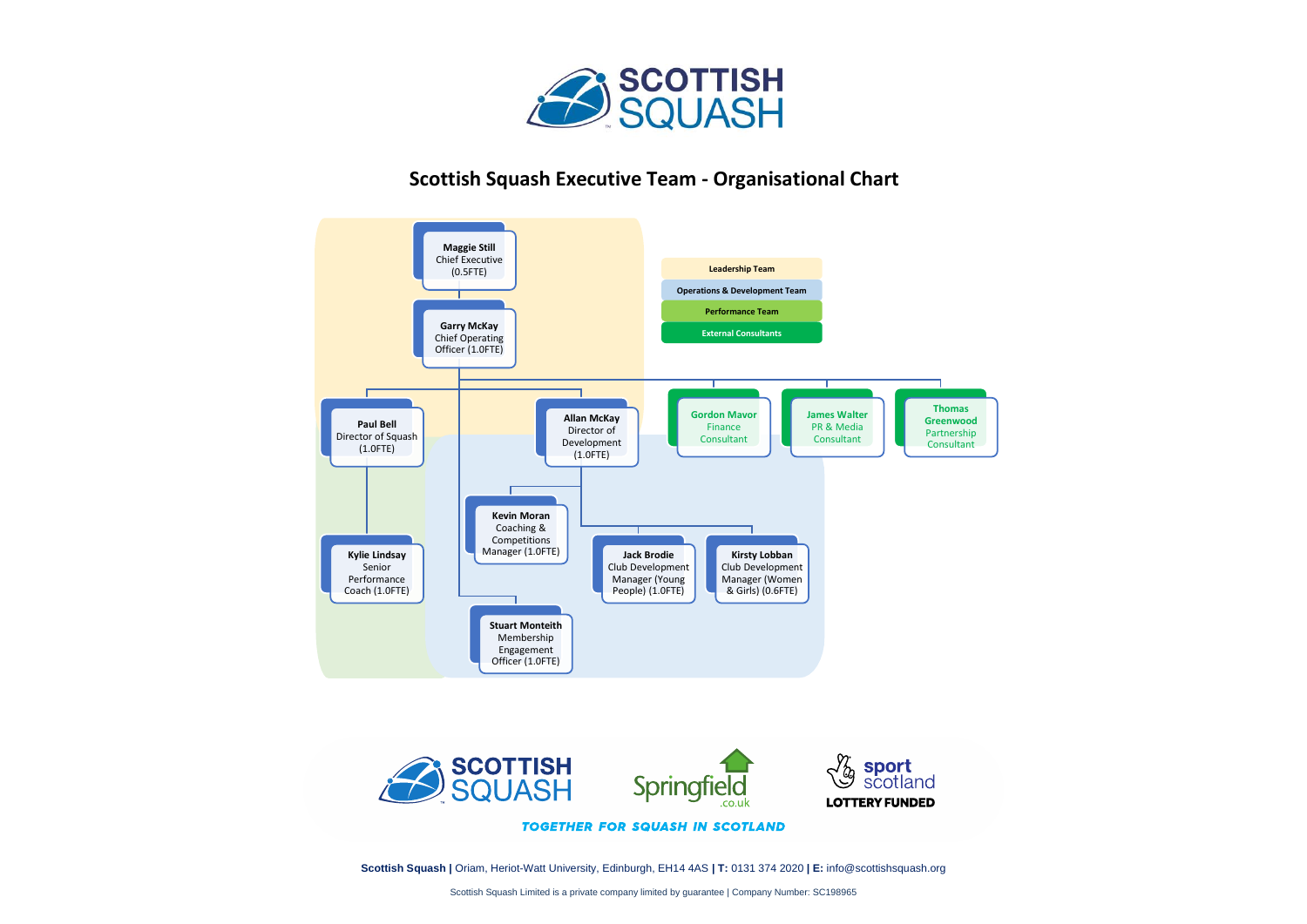

## **Scottish Squash Executive Team - Organisational Chart**





**TOGETHER FOR SQUASH IN SCOTLAND** 

**Scottish Squash |** Oriam, Heriot-Watt University, Edinburgh, EH14 4AS **| T:** 0131 374 2020 **| E:** info@scottishsquash.org

Scottish Squash Limited is a private company limited by guarantee | Company Number: SC198965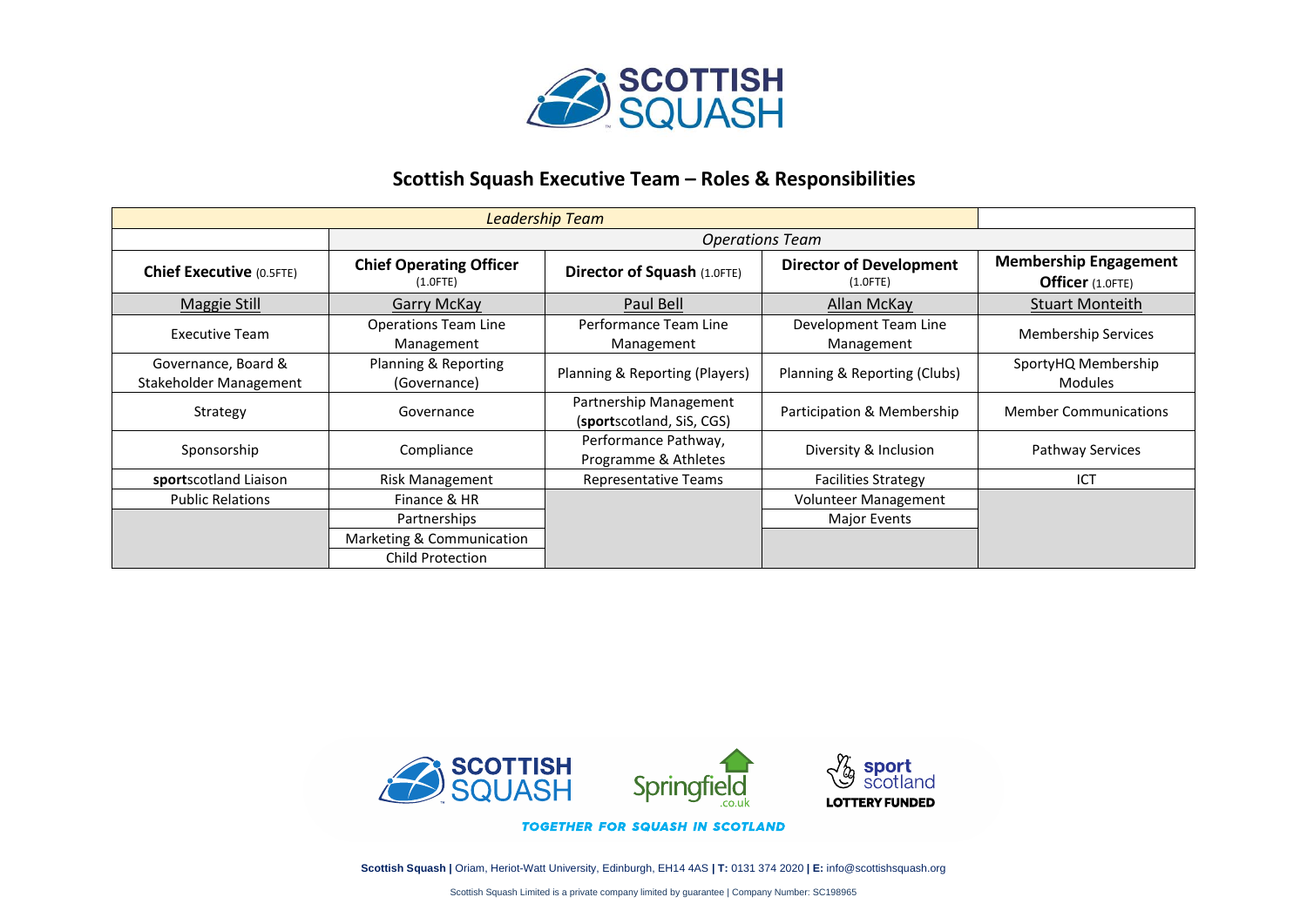

## **Scottish Squash Executive Team – Roles & Responsibilities**

|                                               | <b>Operations Team</b>                        |                                                     |                                               |                                                  |
|-----------------------------------------------|-----------------------------------------------|-----------------------------------------------------|-----------------------------------------------|--------------------------------------------------|
| <b>Chief Executive (0.5FTE)</b>               | <b>Chief Operating Officer</b><br>$(1.0$ FTE) | <b>Director of Squash (1.0FTE)</b>                  | <b>Director of Development</b><br>$(1.0$ FTE) | <b>Membership Engagement</b><br>Officer (1.0FTE) |
| Maggie Still                                  | Garry McKay                                   | Paul Bell                                           | Allan McKay                                   | <b>Stuart Monteith</b>                           |
| Executive Team                                | <b>Operations Team Line</b><br>Management     | Performance Team Line<br>Management                 | Development Team Line<br>Management           | <b>Membership Services</b>                       |
| Governance, Board &<br>Stakeholder Management | Planning & Reporting<br>(Governance)          | Planning & Reporting (Players)                      | Planning & Reporting (Clubs)                  | SportyHQ Membership<br><b>Modules</b>            |
| Strategy                                      | Governance                                    | Partnership Management<br>(sportscotland, SiS, CGS) | Participation & Membership                    | <b>Member Communications</b>                     |
| Sponsorship                                   | Compliance                                    | Performance Pathway,<br>Programme & Athletes        | Diversity & Inclusion                         | <b>Pathway Services</b>                          |
| sportscotland Liaison                         | Risk Management                               | <b>Representative Teams</b>                         | <b>Facilities Strategy</b>                    | ICT                                              |
| <b>Public Relations</b>                       | Finance & HR                                  |                                                     | Volunteer Management                          |                                                  |
|                                               | Partnerships                                  |                                                     | <b>Major Events</b>                           |                                                  |
|                                               | Marketing & Communication                     |                                                     |                                               |                                                  |
|                                               | <b>Child Protection</b>                       |                                                     |                                               |                                                  |



**Scottish Squash |** Oriam, Heriot-Watt University, Edinburgh, EH14 4AS **| T:** 0131 374 2020 **| E:** info@scottishsquash.org

Scottish Squash Limited is a private company limited by guarantee | Company Number: SC198965